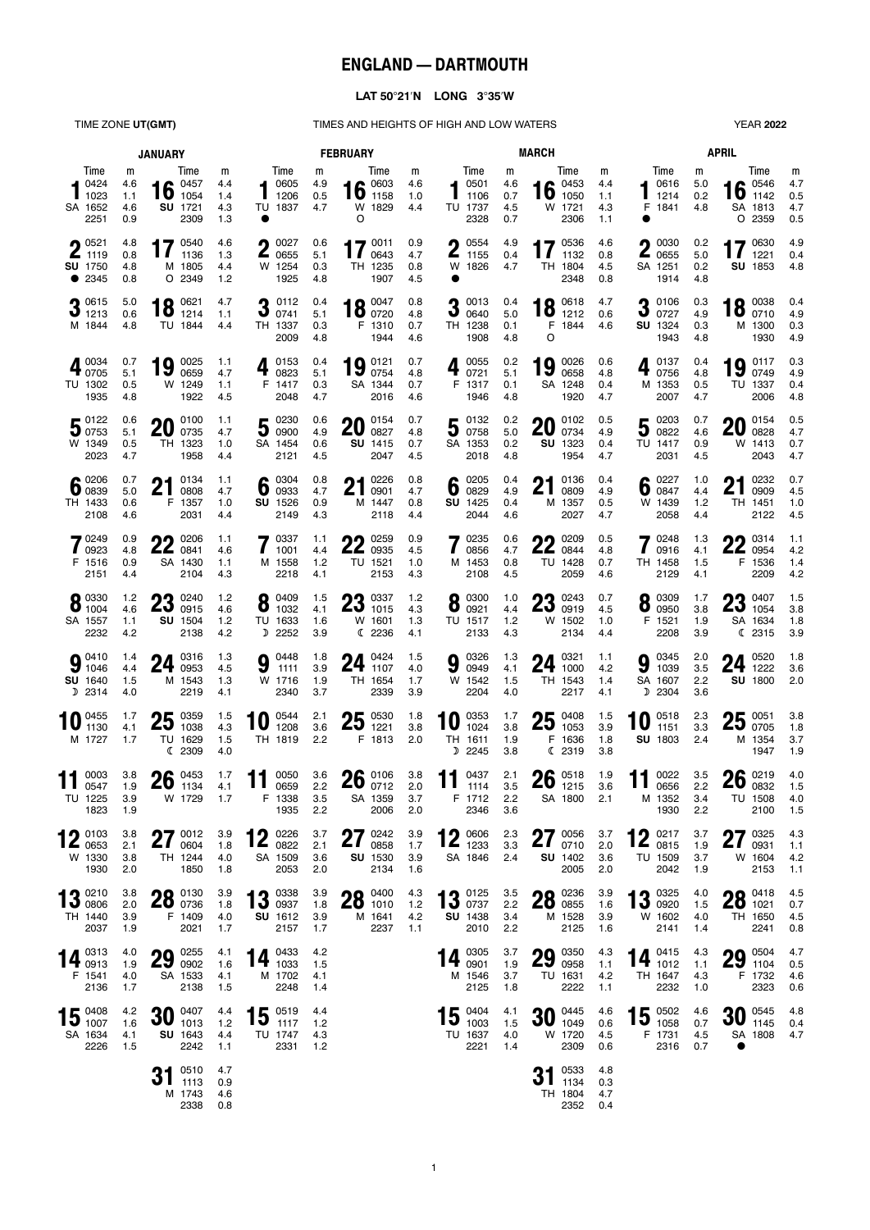# **ENGLAND — DARTMOUTH**

### **LAT 5021N LONG 335W**

TIME ZONE UT(GMT) TIMES AND HEIGHTS OF HIGH AND LOW WATERS YEAR 2022

|                                                                     | <b>JANUARY</b>                |                                                         | <b>FEBRUARY</b>               |                                                 |                            |                                                  |                          | <b>MARCH</b>                                  | <b>APRIL</b>                  |                                                        |                               |                                                         |                          |                                                           |                               |
|---------------------------------------------------------------------|-------------------------------|---------------------------------------------------------|-------------------------------|-------------------------------------------------|----------------------------|--------------------------------------------------|--------------------------|-----------------------------------------------|-------------------------------|--------------------------------------------------------|-------------------------------|---------------------------------------------------------|--------------------------|-----------------------------------------------------------|-------------------------------|
| Time<br>0424<br>1023<br>SA 1652<br>2251                             | m<br>4.6<br>1.1<br>4.6<br>0.9 | Time<br>$\bullet$ 0457<br>16<br>1054<br>SU 1721<br>2309 | m<br>4.4<br>1.4<br>4.3<br>1.3 | Time<br>0605<br>1206<br>TU 1837                 | m<br>4.9<br>0.5<br>4.7     | Time<br>16 $^{0603}_{1158}$<br>W 1829<br>$\circ$ | m<br>4.6<br>1.0<br>4.4   | Time<br>0501<br>1106<br>TU 1737<br>2328       | m<br>4.6<br>0.7<br>4.5<br>0.7 | Time<br>$\bullet$ 0453<br>16<br>1050<br>W 1721<br>2306 | m<br>4.4<br>1.1<br>4.3<br>1.1 | Time<br>0616<br>1214<br>F 1841                          | m<br>5.0<br>0.2<br>4.8   | Time<br>$\bullet$ 0546<br>16<br>1142<br>SA 1813<br>O 2359 | m<br>4.7<br>0.5<br>4.7<br>0.5 |
| $\bigcap$ 0521<br>$\blacktriangle$ 1119<br><b>SU</b> 1750<br>• 2345 | 4.8<br>0.8<br>4.8<br>0.8      | 17<br>0540<br>1136<br>M 1805<br>O 2349                  | 4.6<br>1.3<br>4.4<br>1.2      | 0027<br>$\blacktriangle$ 0655<br>W 1254<br>1925 | 0.6<br>5.1<br>0.3<br>4.8   | 17 $^{0011}_{0643}$<br>0643<br>TH 1235<br>1907   | 0.9<br>4.7<br>0.8<br>4.5 | 0554<br>Λ<br>L<br>1155<br>W 1826<br>●         | 4.9<br>0.4<br>4.7             | 17 $^{0536}_{1132}$<br>1132<br>TH 1804<br>2348         | 4.6<br>0.8<br>4.5<br>0.8      | 0030<br>Λ<br>L<br>0655<br>SA 1251<br>1914               | 0.2<br>5.0<br>0.2<br>4.8 | 70630<br>1221<br>SU 1853                                  | 4.9<br>0.4<br>4.8             |
| $-0.0615$<br>$J$ 1213<br>M 1844                                     | 5.0<br>0.6<br>4.8             | 0621<br>18<br>1214<br>TU 1844                           | 4.7<br>1.1<br>4.4             | $3^{0112}_{0741}$<br>TH 1337<br>2009            | 0.4<br>5.1<br>0.3<br>4.8   | 0047<br>$18^{0047}_{0720}$<br>F 1310<br>1944     | 0.8<br>4.8<br>0.7<br>4.6 | 0013<br>ŋ.<br>J<br>0640<br>TH 1238<br>1908    | 0.4<br>5.0<br>0.1<br>4.8      | 18 $^{0618}_{1212}$<br>F 1844<br>O                     | 4.7<br>0.6<br>4.6             | 0106<br>O<br>J<br>0727<br><b>SU 1324</b><br>1943        | 0.3<br>4.9<br>0.3<br>4.8 | 18 $_{0710}^{0038}$<br>M 1300<br>1930                     | 0.4<br>4.9<br>0.3<br>4.9      |
| 0034<br>40005<br>TU 1302<br>1935                                    | 0.7<br>5.1<br>0.5<br>4.8      | 0025<br>19<br>0659<br>W 1249<br>1922                    | 1.1<br>4.7<br>1.1<br>4.5      | 0153<br>4<br>0823<br>F 1417<br>2048             | 0.4<br>5.1<br>0.3<br>4.7   | 19 $^{0121}_{0754}$<br>SA 1344<br>2016           | 0.7<br>4.8<br>0.7<br>4.6 | 0055<br>0721<br>F 1317<br>1946                | 0.2<br>5.1<br>0.1<br>4.8      | 0026<br>19<br>0658<br>SA 1248<br>1920                  | 0.6<br>4.8<br>0.4<br>4.7      | 0137<br>0756<br>M 1353<br>2007                          | 0.4<br>4.8<br>0.5<br>4.7 | 0.0117<br>19<br>0749<br>TU 1337<br>2006                   | 0.3<br>4.9<br>0.4<br>4.8      |
| $5^{0122}_{0753}$<br>W 1349<br>2023                                 | 0.6<br>5.1<br>0.5<br>4.7      | 0100<br>20<br>0735<br>TH 1323<br>1958                   | 1.1<br>4.7<br>1.0<br>4.4      | $50000}$<br>SA 1454<br>2121                     | 0.6<br>4.9<br>0.6<br>4.5   | 0154<br>ZU<br>0827<br>SU 1415<br>2047            | 0.7<br>4.8<br>0.7<br>4.5 | 50132<br>SA 1353<br>2018                      | 0.2<br>5.0<br>0.2<br>4.8      | 0102<br>20<br>0734<br>SU 1323<br>1954                  | 0.5<br>4.9<br>0.4<br>4.7      | 0203<br>5<br>0822<br>TU 1417<br>2031                    | 0.7<br>4.6<br>0.9<br>4.5 | $20^{0154}_{0828}$<br>W 1413<br>2043                      | 0.5<br>4.7<br>0.7<br>4.7      |
| $6\degree$ 0206<br>TH 1433<br>2108                                  | 0.7<br>5.0<br>0.6<br>4.6      | 0134<br>ŋ1<br>Z I<br>0808<br>F 1357<br>2031             | 1.1<br>4.7<br>1.0<br>4.4      | 0304<br>6<br>0933<br>SU 1526<br>2149            | 0.8<br>4.7<br>0.9<br>4.3   | 0226<br>ŋ1<br>Z I<br>0901<br>M 1447<br>2118      | 0.8<br>4.7<br>0.8<br>4.4 | 0205<br>6<br>0829<br>SU 1425<br>2044          | 0.4<br>4.9<br>0.4<br>4.6      | 0136<br>ŋ1<br>Z I<br>0809<br>M 1357<br>2027            | 0.4<br>4.9<br>0.5<br>4.7      | 0227<br>6<br>0847<br>W 1439<br>2058                     | 1.0<br>4.4<br>1.2<br>4.4 | 0232<br>Λ4<br>Z I<br>0909<br>TH 1451<br>2122              | 0.7<br>4.5<br>1.0<br>4.5      |
| 70249<br>$\blacksquare$ 0923<br>F 1516<br>2151                      | 0.9<br>4.8<br>0.9<br>4.4      | 0206<br>nn<br>ZZ.<br>0841<br>SA 1430<br>2104            | 1.1<br>4.6<br>1.1<br>4.3      | 0337<br>1001<br>M 1558<br>2218                  | 1.1<br>4.4<br>$1.2$<br>4.1 | 0259<br>nn<br><b>ZZ</b> 0935<br>TU 1521<br>2153  | 0.9<br>4.5<br>1.0<br>4.3 | 0235<br>0856<br>M 1453<br>2108                | 0.6<br>4.7<br>0.8<br>4.5      | 0209<br>nn<br><b>ZZ</b> 0844<br>TU 1428<br>2059        | 0.5<br>4.8<br>0.7<br>4.6      | 0248<br>0916<br>TH 1458<br>2129                         | 1.3<br>4.1<br>1.5<br>4.1 | $\bigcap$ 0314<br><b>ZZ</b> 0954<br>F 1536<br>2209        | 1.1<br>4.2<br>1.4<br>4.2      |
| $8^{0330}_{1004}$<br>SA 1557<br>2232                                | 1.2<br>4.6<br>1.1<br>4.2      | 0240<br>ŋŋ<br>ZJ<br>0915<br>SU 1504<br>2138             | 1.2<br>4.6<br>1.2<br>4.2      | 0409<br>8<br>1032<br>TU 1633<br>D 2252          | 1.5<br>4.1<br>1.6<br>3.9   | ባባ 0337<br>$20$ 1015<br>W 1601<br>C 2236         | 1.2<br>4.3<br>1.3<br>4.1 | 0300<br>8<br>0921<br>TU 1517<br>2133          | 1.0<br>4.4<br>1.2<br>4.3      | 0243<br>ωō<br>67<br>0919<br>W 1502<br>2134             | 0.7<br>4.5<br>1.0<br>4.4      | 0309<br>8<br>0950<br>F 1521<br>2208                     | 1.7<br>3.8<br>1.9<br>3.9 | <b>00 0407</b><br>$20_{1054}$<br>SA 1634<br>(2315)        | 1.5<br>3.8<br>1.8<br>3.9      |
| $9^{0410}_{1046}$<br>SU 1640<br>D 2314                              | 1.4<br>4.4<br>1.5<br>4.0      | 0316<br>24<br>0953<br>M 1543<br>2219                    | 1.3<br>4.5<br>1.3<br>4.1      | 0448<br>9<br>1111<br>W 1716<br>2340             | 1.8<br>3.9<br>1.9<br>3.7   | 0424<br>24<br>1107<br>TH 1654<br>2339            | 1.5<br>4.0<br>1.7<br>3.9 | 0326<br>9<br>0949<br>W 1542<br>2204           | 1.3<br>4.1<br>1.5<br>4.0      | 0321<br>24<br>1000<br>TH 1543<br>2217                  | 1.1<br>4.2<br>1.4<br>4.1      | 0345<br>9<br>1039<br>SA 1607<br>D 2304                  | 2.0<br>3.5<br>2.2<br>3.6 | $24 \tfrac{0520}{1222}$<br><b>SU 1800</b>                 | 1.8<br>3.6<br>2.0             |
| 0455<br>1130<br>M 1727                                              | 1.7<br>4.1<br>1.7             | 25<br>0359<br>1038<br>TU 1629<br>C 2309                 | 1.5<br>4.3<br>1.5<br>4.0      | 0544<br>10<br>1208<br>TH 1819                   | 2.1<br>3.6<br>2.2          | $25^{0530}_{1221}$<br>1221<br>F 1813             | 1.8<br>3.8<br>2.0        | 0353<br>1024<br>TH 1611<br>D 2245             | 1.7<br>3.8<br>1.9<br>3.8      | 0408<br>25<br>1053<br>F.<br>1636<br>(2319              | 1.5<br>3.9<br>1.8<br>3.8      | 0518<br>10<br>1151<br><b>SU 1803</b>                    | 2.3<br>3.3<br>2.4        | $25\frac{0051}{0705}$<br>M 1354<br>1947                   | 3.8<br>1.8<br>3.7<br>1.9      |
| 0003<br>0547<br>TU 1225<br>1823                                     | 3.8<br>1.9<br>3.9<br>1.9      | 0453<br>26<br>1134<br>W 1729                            | 1.7<br>4.1<br>1.7             | 0050<br>11<br>0659<br>F 1338<br>1935            | 3.6<br>2.2<br>3.5<br>2.2   | $26 \t{0106 \t0712}$<br>SA 1359<br>2006          | 3.8<br>2.0<br>3.7<br>2.0 | 0437<br>11<br>1114<br>F 1712<br>2346          | 2.1<br>3.5<br>2.2<br>3.6      | $26 \tfrac{0518}{1215}$<br>SA 1800 2.1                 | 1.9<br>3.6                    | 0022<br>11<br>0656<br>M 1352<br>1930                    | 3.5<br>2.2<br>3.4<br>2.2 | $26 \frac{0219}{0832}$<br>TU 1508<br>2100                 | 4.0<br>1.5<br>4.0<br>1.5      |
| $\bigcap$ 0103<br>$\mathsf{L}_{\mathsf{0653}}$<br>W 1330<br>1930    | 3.8<br>2.1<br>3.8<br>2.0      | 270012<br>210004<br>TH 1244<br>1850                     | 3.9<br>1.8<br>4.0<br>1.8      | 12 ${}^{0226}_{0822}$<br>SA 1509<br>2053        | 3.7<br>2.1<br>3.6<br>2.0   | 270242<br><b>41</b><br>0858<br>SU 1530<br>2134   | 3.9<br>1.7<br>3.9<br>1.6 | 10006<br>$\sum_{1233}$<br>SA 1846             | 2.3<br>3.3<br>2.4             | 270056<br><b>ZI</b><br>0710<br>SU 1402<br>2005         | 3.7<br>2.0<br>3.6<br>2.0      | 400217<br>$\mathbf{Z}_{0815}$<br><b>TU 1509</b><br>2042 | 3.7<br>1.9<br>3.7<br>1.9 | $27$ 0325<br>$21$ 0931<br>W 1604<br>2153                  | 4.3<br>1.1<br>4.2<br>1.1      |
| $4$ $2$ 0210<br>$\overline{\mathsf{U}}$ 0806<br>TH 1440<br>2037     | 3.8<br>2.0<br>3.9<br>1.9      | 28 0736<br>F 1409<br>2021                               | 3.9<br>1.8<br>4.0<br>1.7      | $13^{0338}_{0937}$<br>SU 1612<br>2157           | 3.9<br>1.8<br>3.9<br>1.7   | $28^{0400}_{1010}$<br>M 1641<br>2237             | 4.3<br>1.2<br>4.2<br>1.1 | $13^{0125}_{0737}$<br><b>SU 1438</b><br>2010  | 3.5<br>2.2<br>3.4<br>2.2      | 28 0855<br>M 1528<br>2125                              | 3.9<br>1.6<br>3.9<br>1.6      | $13^{0325}_{0920}$<br>W 1602<br>2141                    | 4.0<br>1.5<br>4.0<br>1.4 | $00$ 0418<br><b>ZO</b> 1021<br>TH 1650<br>2241            | 4.5<br>0.7<br>4.5<br>0.8      |
| 14 0313<br>F 1541<br>2136                                           | 4.0<br>1.9<br>4.0<br>1.7      | $29\degree^{0255}$<br>SA 1533<br>2138                   | 4.1<br>1.6<br>4.1<br>1.5      | 14 $^{0433}_{1033}$<br>M 1702<br>2248           | 4.2<br>1.5<br>4.1<br>1.4   |                                                  |                          | 0305<br>14 $^{0305}_{0901}$<br>M 1546<br>2125 | 3.7<br>1.9<br>3.7<br>1.8      | $29\degree^{0350}_{0958}$<br>TU 1631<br>2222           | 4.3<br>1.1<br>4.2<br>1.1      | $14 \t_{1012}^{0415}$<br>TH 1647<br>2232                | 4.3<br>1.1<br>4.3<br>1.0 | $29^{0504}_{1104}$<br>F 1732<br>2323                      | 4.7<br>0.5<br>4.6<br>0.6      |
| 15 $\frac{0408}{1007}$<br>SA 1634<br>2226                           | 4.2<br>1.6<br>4.1<br>1.5      | $30^{0407}_{1013}$<br>SU 1643<br>2242                   | 4.4<br>1.2<br>4.4<br>1.1      | $15^{0519}_{1117}$<br>TU 1747<br>2331           | 4.4<br>1.2<br>4.3<br>1.2   |                                                  |                          | $15^{0404}_{1003}$<br>TU 1637<br>2221         | 4.1<br>1.5<br>4.0<br>1.4      | $30^{0445}_{1049}$<br>W 1720<br>2309                   | 4.6<br>0.6<br>4.5<br>0.6      | $15^{0502}_{1058}$<br>F 1731<br>2316                    | 4.6<br>0.7<br>4.5<br>0.7 | $30^{0545}_{1145}$<br>SA 1808<br>$\bullet$                | 4.8<br>0.4<br>4.7             |
|                                                                     |                               | $31^{0510}_{1113}$<br>M 1743<br>2338                    | 4.7<br>0.9<br>4.6<br>0.8      |                                                 |                            |                                                  |                          |                                               |                               | $31^{0533}_{1134}$<br>TH 1804<br>2352 0.4              | 4.8<br>0.3<br>4.7             |                                                         |                          |                                                           |                               |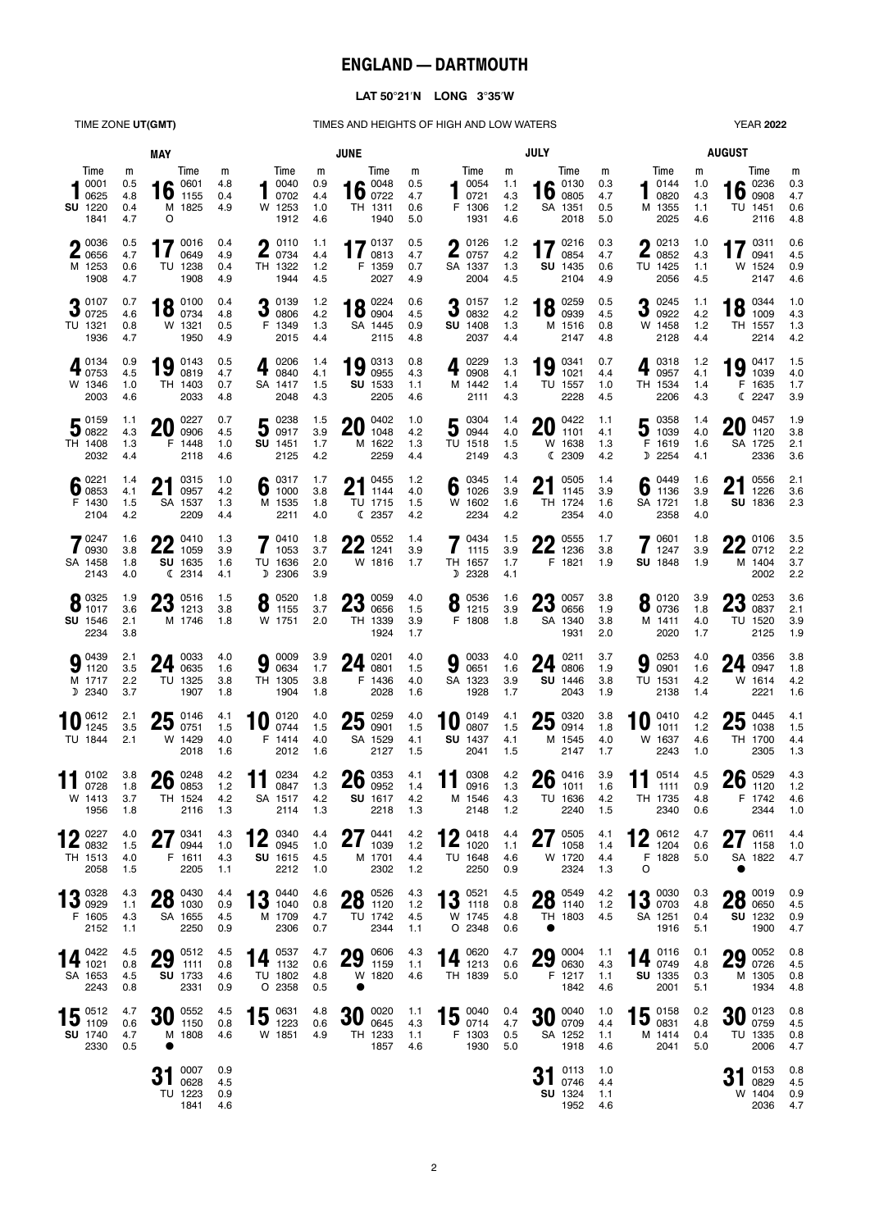# **ENGLAND — DARTMOUTH**

## **LAT 5021N LONG 335W**

TIME ZONE **UT(GMT)** TIMES AND HEIGHTS OF HIGH AND LOW WATERS

| <b>YEAR 2022</b> |
|------------------|
|                  |

| MAY                                                      |                               |                               |                                 |                          |                                                                                                                      | <b>JUNE</b>                   |                                                       | <b>JULY</b>                   | <b>AUGUST</b>                                                |                               |                                                                                              |                               |                                                            |                               |                                                    |                               |
|----------------------------------------------------------|-------------------------------|-------------------------------|---------------------------------|--------------------------|----------------------------------------------------------------------------------------------------------------------|-------------------------------|-------------------------------------------------------|-------------------------------|--------------------------------------------------------------|-------------------------------|----------------------------------------------------------------------------------------------|-------------------------------|------------------------------------------------------------|-------------------------------|----------------------------------------------------|-------------------------------|
| Time<br>0001<br>0625<br>SU 1220<br>1841                  | m<br>0.5<br>4.8<br>0.4<br>4.7 | $16^{0601}_{1155}$<br>$\circ$ | Time<br>M 1825                  | m<br>4.8<br>0.4<br>4.9   | Time<br>$-0040$<br>0702<br>W 1253<br>1912                                                                            | m<br>0.9<br>4.4<br>1.0<br>4.6 | Time<br>16 $^{0048}_{0722}$<br>TH 1311<br>1940        | m<br>0.5<br>4.7<br>0.6<br>5.0 | Time<br>40054<br>10721<br>F 1306<br>1931                     | m<br>1.1<br>4.3<br>1.2<br>4.6 | Time<br>$1600300}$<br>SA 1351<br>2018                                                        | m<br>0.3<br>4.7<br>0.5<br>5.0 | Time<br>0144<br>0820<br>M 1355<br>2025                     | m<br>1.0<br>4.3<br>1.1<br>4.6 | Time<br>$16\degree$ 0908<br>TU 1451<br>2116        | m<br>0.3<br>4.7<br>0.6<br>4.8 |
| $\bigcap$ 0036<br><b>4</b> 0656<br>M 1253<br>1908        | 0.5<br>4.7<br>0.6<br>4.7      |                               | 0016<br>0649<br>TU 1238<br>1908 | 0.4<br>4.9<br>0.4<br>4.9 | $\bigcap$ 0110<br>$\blacksquare$ 0734<br>TH 1322<br>1944                                                             | 1.1<br>4.4<br>1.2<br>4.5      | 470137<br>$\mathbf{I}$<br>0813<br>F 1359<br>2027      | 0.5<br>4.7<br>0.7<br>4.9      | $\bigcap$ 0126<br>$\mathbf{Z}$ 0757<br>SA 1337<br>2004       | 1.2<br>4.2<br>1.3<br>4.5      | 17 $^{0216}_{0854}$<br>0854<br>SU 1435<br>2104                                               | 0.3<br>4.7<br>0.6<br>4.9      | $\bigcap$ 0213<br>$\blacktriangle$ 0852<br>TU 1425<br>2056 | 1.0<br>4.3<br>1.1<br>4.5      | 470311<br>0941<br>W 1524<br>2147                   | 0.6<br>4.5<br>0.9<br>4.6      |
| 90107<br>0.0725<br>TU 1321<br>1936                       | 0.7<br>4.6<br>0.8<br>4.7      | 10 0100<br><b>10</b> $0734$   | W 1321<br>1950                  | 0.4<br>4.8<br>0.5<br>4.9 | 20139<br>$J$ 0806<br>F 1349<br>2015                                                                                  | 1.2<br>4.2<br>1.3<br>4.4      | $18^{0224}_{0904}$<br>SA 1445<br>2115                 | 0.6<br>4.5<br>0.9<br>4.8      | 0157<br>$\mathbf{J}$ 0832<br><b>SU 1408</b><br>2037          | 1.2<br>4.2<br>1.3<br>4.4      | $18^{0259}_{0939}$<br>M 1516<br>2147                                                         | 0.5<br>4.5<br>0.8<br>4.8      | 90245<br>J<br>0922<br>W 1458<br>2128                       | 1.1<br>4.2<br>$1.2$<br>4.4    | 0.0344<br>$10$ 1009<br>TH 1557<br>2214             | 1.0<br>4.3<br>1.3<br>4.2      |
| <b>A</b> 0134<br>$4_{0753}$<br>W 1346<br>2003            | 0.9<br>4.5<br>1.0<br>4.6      | $19$ $^{0143}_{0819}$         | TH 1403<br>2033                 | 0.5<br>4.7<br>0.7<br>4.8 | 0206<br>$\ddot{\textbf{r}}$<br>0840<br>SA 1417<br>2048                                                               | 1.4<br>4.1<br>1.5<br>4.3      | $19\degree^{0313}_{0955}$<br>SU 1533<br>2205          | 0.8<br>4.3<br>1.1<br>4.6      | 0229<br>4<br>0908<br>M 1442<br>2111                          | 1.3<br>4.1<br>1.4<br>4.3      | 0341<br>19<br>1021<br>TU 1557<br>2228                                                        | 0.7<br>4.4<br>1.0<br>4.5      | 0318<br>$\ddot{\textbf{r}}$<br>0957<br>TH 1534<br>2206     | 1.2<br>4.1<br>1.4<br>4.3      | 19 $^{0417}_{1039}$<br>F 1635<br>C 2247            | 1.5<br>4.0<br>1.7<br>3.9      |
| $\mathbf{E}^{0159}$<br>300822<br>TH 1408<br>2032         | 1.1<br>4.3<br>1.3<br>4.4      | 20                            | 0227<br>0906<br>F 1448<br>2118  | 0.7<br>4.5<br>1.0<br>4.6 | 50238<br><b>SU</b> 1451<br>2125                                                                                      | 1.5<br>3.9<br>1.7<br>4.2      | 0402<br>20<br>1048<br>M 1622<br>2259                  | 1.0<br>4.2<br>1.3<br>4.4      | 500304<br>TU 1518<br>2149                                    | 1.4<br>4.0<br>1.5<br>4.3      | $20^{0422}_{1101}$<br>W 1638<br>C 2309                                                       | 1.1<br>4.1<br>1.3<br>4.2      | $5^{0358}_{1039}$<br>F 1619<br>D 2254                      | 1.4<br>4.0<br>1.6<br>4.1      | $20^{0457}_{1120}$<br>SA 1725<br>2336              | 1.9<br>3.8<br>2.1<br>3.6      |
| $6^{0221}_{0853}$<br>F 1430<br>2104                      | 1.4<br>4.1<br>1.5<br>4.2      | n1<br>Z I                     | 0315<br>0957<br>SA 1537<br>2209 | 1.0<br>4.2<br>1.3<br>4.4 | 6 $^{0317}_{1000}$<br>M 1535<br>2211                                                                                 | 1.7<br>3.8<br>1.8<br>4.0      | $21^{0455}$<br>$\mathbf{Z}$ 1144<br>TU 1715<br>C 2357 | $1.2$<br>4.0<br>1.5<br>4.2    | 6 $^{0345}_{1026}$<br>W 1602<br>2234                         | 1.4<br>3.9<br>1.6<br>4.2      | 0505<br>21<br>1145<br>TH 1724<br>2354                                                        | 1.4<br>3.9<br>1.6<br>4.0      | 6 $^{0449}_{1136}$<br>SA 1721<br>2358                      | 1.6<br>3.9<br>1.8<br>4.0      | 0556<br>64<br>Z I<br>1226<br>SU 1836               | 2.1<br>3.6<br>2.3             |
| 70247<br>$\frac{1}{2}$ 0930<br>SA 1458<br>2143           | 1.6<br>3.8<br>1.8<br>4.0      | ŋη<br>$22$ 1059               | 0410<br>SU 1635<br>(2314)       | 1.3<br>3.9<br>1.6<br>4.1 | $7^{0410}_{1053}$<br>TU 1636<br>D 2306                                                                               | 1.8<br>3.7<br>2.0<br>3.9      | ባባ 0552<br>$22$ 1241<br>W 1816                        | 1.4<br>3.9<br>1.7             | 70434<br>1115<br>TH 1657<br>D 2328                           | 1.5<br>3.9<br>1.7<br>4.1      | $\bullet$ 0555<br><b>ZZ</b> 1236<br>F 1821                                                   | 1.7<br>3.8<br>1.9             | 0601<br>1247<br><b>SU 1848</b>                             | 1.8<br>3.9<br>1.9             | <b>OD</b> 0106<br><b>ZZ</b> 0712<br>M 1404<br>2002 | 3.5<br>2.2<br>3.7<br>2.2      |
| 0.0325<br>$\bullet$ 1017<br><b>SU</b> 1546<br>2234       | 1.9<br>3.6<br>2.1<br>3.8      | $\bigcirc$ 0516<br>$23$ 1213  | M 1746                          | 1.5<br>3.8<br>1.8        | 0520<br>O<br>1155<br>W 1751                                                                                          | 1.8<br>3.7<br>2.0             | <b>0059</b><br>2000656<br>TH 1339<br>1924             | 4.0<br>1.5<br>3.9<br>1.7      | 0.0536<br>$\bullet$ 1215<br>F 1808                           | 1.6<br>3.9<br>1.8             | $\mathbf{Q}$ 0057<br>$\mathbf{Z}$ <sup><math>\mathbf{0}</math></sup> 0656<br>SA 1340<br>1931 | 3.8<br>1.9<br>3.8<br>2.0      | 0120<br>O<br>0736<br>M 1411<br>2020                        | 3.9<br>1.8<br>4.0<br>1.7      | <b>0253</b><br>$20$ 0837<br>TU 1520<br>2125        | 3.6<br>2.1<br>3.9<br>1.9      |
| $9^{0439}_{1120}$<br>M 1717<br>D 2340                    | 2.1<br>3.5<br>2.2<br>3.7      | 24                            | 0033<br>0635<br>TU 1325<br>1907 | 4.0<br>1.6<br>3.8<br>1.8 | 0009<br>9<br>0634<br>TH 1305<br>1904                                                                                 | 3.9<br>1.7<br>3.8<br>1.8      | 0201<br>24<br>0801<br>F 1436<br>2028                  | 4.0<br>1.5<br>4.0<br>1.6      | 90033<br>SA 1323<br>1928                                     | 4.0<br>1.6<br>3.9<br>1.7      | 0211<br>24<br>0806<br>SU 1446<br>2043                                                        | 3.7<br>1.9<br>3.8<br>1.9      | $9^{0253}_{0901}$<br>TU 1531<br>2138                       | 4.0<br>1.6<br>4.2<br>1.4      | $24 \t{0356 \atop 0947}$<br>W 1614<br>2221         | 3.8<br>1.8<br>4.2<br>1.6      |
| $\mathbf{0}$ <sup>0612</sup><br>TU 1844                  | 2.1<br>3.5<br>2.1             | $25\;\substack{0146 \\ 0751}$ | W 1429<br>2018                  | 4.1<br>1.5<br>4.0<br>1.6 | 0120<br>0744<br>F 1414<br>2012                                                                                       | 4.0<br>1.5<br>4.0<br>1.6      | 0259<br>25<br>0901<br>SA 1529<br>2127                 | 4.0<br>1.5<br>4.1<br>1.5      | 0149<br>0807<br><b>SU 1437</b><br>2041                       | 4.1<br>1.5<br>4.1<br>1.5      | $25\degree^{0320}_{0914}$<br>M 1545<br>2147                                                  | 3.8<br>1.8<br>4.0<br>1.7      | 0410<br>10<br>1011<br>W 1637<br>2243                       | 4.2<br>1.2<br>4.6<br>1.0      | $25^{0445}_{1038}$<br>TH 1700<br>2305              | 4.1<br>1.5<br>4.4<br>1.3      |
| 0102<br><b>11</b> $rac{1}{0728}$<br>W 1413 3.7<br>1956   | 3.8<br>1.8<br>1.8             | $26 \frac{0248}{0853}$        | TH 1524<br>2116                 | 4.2<br>1.2<br>4.2<br>1.3 | 11<br>0234<br>0847<br>SA 1517 4.2<br>2114                                                                            | 4.2<br>1.3<br>1.3             | $26 \frac{0353}{0952}$<br>SU 1617<br>2218             | 4.1<br>1.4<br>4.2<br>1.3      | 11 $^{0308}_{0916}$<br>2148                                  | 4.2<br>1.3<br>1.2             | $26_{1011}^{0416}$<br>M 1546 4.3 TU 1636 4.2<br>2240                                         | 3.9<br>1.6<br>1.5             | $11^{0514}_{1111}$<br>TH 1735 4.8<br>2340                  | 4.5<br>0.9<br>0.6             | $26 \tfrac{0529}{1120}$<br>F 1742 4.6<br>2344      | 4.3<br>1.2<br>1.0             |
| $\bigcap$ 0227<br>$\mathbf{Z}_{0832}$<br>TH 1513<br>2058 | 4.0<br>1.5<br>4.0<br>1.5      | $27$ 0341<br><b>41</b>        | 0944<br>F 1611<br>2205          | 4.3<br>1.0<br>4.3<br>1.1 | 400340<br>$\mathbf{Z}_{0945}$<br>SU 1615<br>2212                                                                     | 4.4<br>1.0<br>4.5<br>1.0      | $27_{1039}^{0441}$<br>1039<br>M 1701<br>2302          | 4.2<br>$1.2$<br>4.4<br>$1.2$  | $4 \bigwedge 0418$<br>$\mathbf{Z}_{1020}$<br>TU 1648<br>2250 | 4.4<br>1.1<br>4.6<br>0.9      | 0505<br>27<br>1058<br>W 1720<br>2324                                                         | 4.1<br>1.4<br>4.4<br>1.3      | 400012<br>$\sum_{1204}$<br>F 1828<br>O                     | 4.7<br>0.6<br>5.0             | $27^{0611}_{1158}$<br>SA 1822                      | 4.4<br>1.0<br>4.7             |
| ◀ ? 0328<br>$\overline{10}$ 0929<br>F 1605<br>2152       | 4.3<br>1.1<br>4.3<br>1.1      | 00 0430<br>$20$ 1030          | SA 1655<br>2250                 | 4.4<br>0.9<br>4.5<br>0.9 | $13^{0440}_{1040}$<br>M 1709<br>2306                                                                                 | 4.6<br>0.8<br>4.7<br>0.7      | $28^{0526}_{1120}$<br>TU 1742<br>2344                 | 4.3<br>1.2<br>4.5<br>1.1      | $13^{0521}_{1118}$<br>W 1745<br>O 2348                       | 4.5<br>0.8<br>4.8<br>0.6      | $28^{0549}_{1140}$<br>TH 1803                                                                | 4.2<br>1.2<br>4.5             | $12^{0030}$<br>Iν<br>0703<br>SA 1251<br>1916               | 0.3<br>4.8<br>0.4<br>5.1      | 00019<br><b>ZO</b> 0650<br>SU 1232<br>1900         | 0.9<br>4.5<br>0.9<br>4.7      |
| 14 $^{0422}_{1021}$<br>SA 1653<br>2243                   | 4.5<br>0.8<br>4.5<br>0.8      | $29^{0512}_{1111}$            | SU 1733<br>2331                 | 4.5<br>0.8<br>4.6<br>0.9 | 14 $^{0537}_{1132}$<br>TU 1802<br>O 2358                                                                             | 4.7<br>0.6<br>4.8<br>0.5      | $29 \t{)}0606$<br>W 1820                              | 4.3<br>1.1<br>4.6             | 14 $^{0620}_{1213}$<br>TH 1839                               | 4.7<br>0.6<br>5.0             | 29 0630<br>F 1217<br>1842                                                                    | 1.1<br>4.3<br>1.1<br>4.6      | 14 $^{0116}_{0749}$<br>SU 1335<br>2001                     | 0.1<br>4.8<br>0.3<br>5.1      | $29^{0052}_{0726}$<br>M 1305<br>1934               | 0.8<br>4.5<br>0.8<br>4.8      |
| $15^{0512}_{1109}$<br><b>SU</b> 1740<br>2330             | 4.7<br>0.6<br>4.7<br>0.5      | $30\;\substack{0552 \\ 1150}$ | M 1808                          | 4.5<br>0.8<br>4.6        | $15\;\substack{\scriptscriptstyle{0631}\scriptscriptstyle{}}\scriptscriptstyle{\scriptscriptstyle{1223}}}$<br>W 1851 | 4.8<br>0.6<br>4.9             | $30\degree$ 0645<br>TH 1233<br>1857                   | 1.1<br>4.3<br>1.1<br>4.6      | $15^{0040}_{0714}$<br>F 1303<br>1930                         | 0.4<br>4.7<br>0.5<br>5.0      | $30\degree_{0709}$<br>SA 1252<br>1918                                                        | 1.0<br>4.4<br>1.1<br>4.6      | $15 \t{)}0158 \t{)}0158$<br>M 1414<br>2041                 | 0.2<br>4.8<br>0.4<br>5.0      | $30^{0123}_{0759}$<br>TU 1335<br>2006              | 0.8<br>4.5<br>0.8<br>4.7      |
|                                                          |                               |                               | 0007<br>0628<br>TU 1223<br>1841 | 0.9<br>4.5<br>0.9<br>4.6 |                                                                                                                      |                               |                                                       |                               |                                                              |                               | 0113<br>$31^{0113}_{0746}$<br><b>SU</b> 1324<br>1952                                         | 1.0<br>4.4<br>1.1<br>4.6      |                                                            |                               | $31^{0153}_{0829}$<br>W 1404<br>2036               | 0.8<br>4.5<br>0.9<br>4.7      |